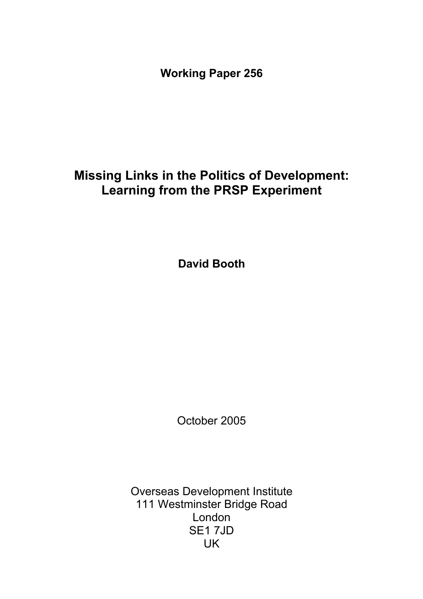**Working Paper 256** 

# **Missing Links in the Politics of Development: Learning from the PRSP Experiment**

**David Booth** 

October 2005

Overseas Development Institute 111 Westminster Bridge Road London SE1 7JD UK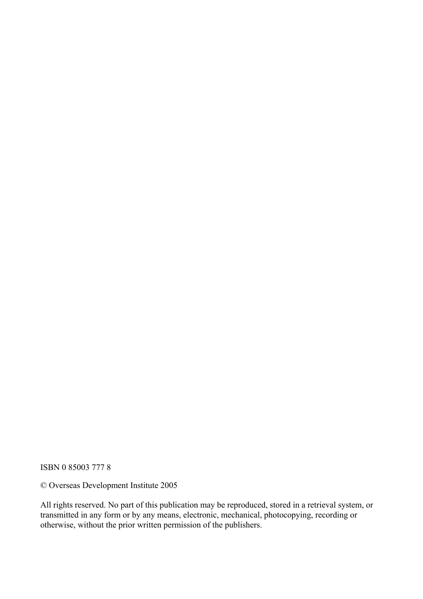ISBN 0 85003 777 8

© Overseas Development Institute 2005

All rights reserved. No part of this publication may be reproduced, stored in a retrieval system, or transmitted in any form or by any means, electronic, mechanical, photocopying, recording or otherwise, without the prior written permission of the publishers.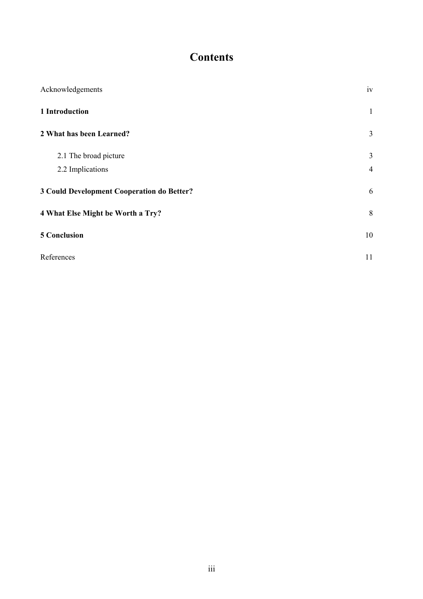## **Contents**

| Acknowledgements                           | iv             |
|--------------------------------------------|----------------|
| 1 Introduction                             | 1              |
| 2 What has been Learned?                   | $\overline{3}$ |
| 2.1 The broad picture                      | 3              |
| 2.2 Implications                           | $\overline{4}$ |
| 3 Could Development Cooperation do Better? | 6              |
| 4 What Else Might be Worth a Try?          | 8              |
| <b>5 Conclusion</b>                        | 10             |
| References                                 | 11             |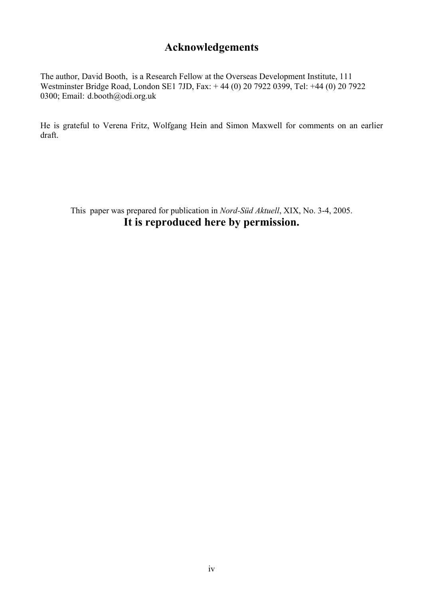## **Acknowledgements**

The author, David Booth, is a Research Fellow at the Overseas Development Institute, 111 Westminster Bridge Road, London SE1 7JD, Fax: + 44 (0) 20 7922 0399, Tel: +44 (0) 20 7922 0300; Email: d.booth@odi.org.uk

He is grateful to Verena Fritz, Wolfgang Hein and Simon Maxwell for comments on an earlier draft.

This paper was prepared for publication in *Nord-Süd Aktuell*, XIX, No. 3-4, 2005. **It is reproduced here by permission.**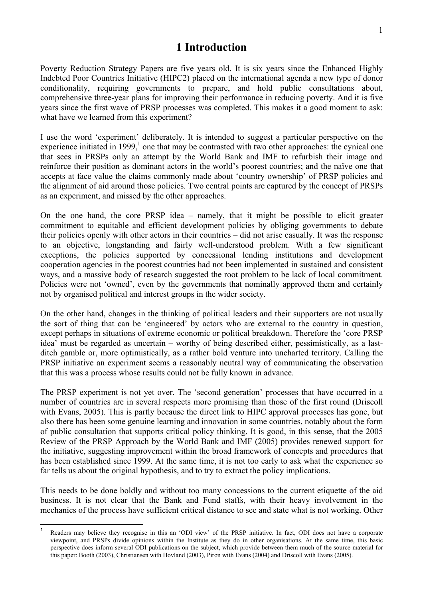### **1 Introduction**

Poverty Reduction Strategy Papers are five years old. It is six years since the Enhanced Highly Indebted Poor Countries Initiative (HIPC2) placed on the international agenda a new type of donor conditionality, requiring governments to prepare, and hold public consultations about, comprehensive three-year plans for improving their performance in reducing poverty. And it is five years since the first wave of PRSP processes was completed. This makes it a good moment to ask: what have we learned from this experiment?

I use the word 'experiment' deliberately. It is intended to suggest a particular perspective on the experience initiated in 1999, $\frac{1}{2}$  one that may be contrasted with two other approaches: the cynical one that sees in PRSPs only an attempt by the World Bank and IMF to refurbish their image and reinforce their position as dominant actors in the world's poorest countries; and the naïve one that accepts at face value the claims commonly made about 'country ownership' of PRSP policies and the alignment of aid around those policies. Two central points are captured by the concept of PRSPs as an experiment, and missed by the other approaches.

On the one hand, the core PRSP idea – namely, that it might be possible to elicit greater commitment to equitable and efficient development policies by obliging governments to debate their policies openly with other actors in their countries – did not arise casually. It was the response to an objective, longstanding and fairly well-understood problem. With a few significant exceptions, the policies supported by concessional lending institutions and development cooperation agencies in the poorest countries had not been implemented in sustained and consistent ways, and a massive body of research suggested the root problem to be lack of local commitment. Policies were not 'owned', even by the governments that nominally approved them and certainly not by organised political and interest groups in the wider society.

On the other hand, changes in the thinking of political leaders and their supporters are not usually the sort of thing that can be 'engineered' by actors who are external to the country in question, except perhaps in situations of extreme economic or political breakdown. Therefore the 'core PRSP idea' must be regarded as uncertain – worthy of being described either, pessimistically, as a lastditch gamble or, more optimistically, as a rather bold venture into uncharted territory. Calling the PRSP initiative an experiment seems a reasonably neutral way of communicating the observation that this was a process whose results could not be fully known in advance.

The PRSP experiment is not yet over. The 'second generation' processes that have occurred in a number of countries are in several respects more promising than those of the first round (Driscoll with Evans, 2005). This is partly because the direct link to HIPC approval processes has gone, but also there has been some genuine learning and innovation in some countries, notably about the form of public consultation that supports critical policy thinking. It is good, in this sense, that the 2005 Review of the PRSP Approach by the World Bank and IMF (2005) provides renewed support for the initiative, suggesting improvement within the broad framework of concepts and procedures that has been established since 1999. At the same time, it is not too early to ask what the experience so far tells us about the original hypothesis, and to try to extract the policy implications.

This needs to be done boldly and without too many concessions to the current etiquette of the aid business. It is not clear that the Bank and Fund staffs, with their heavy involvement in the mechanics of the process have sufficient critical distance to see and state what is not working. Other

Readers may believe they recognise in this an 'ODI view' of the PRSP initiative. In fact, ODI does not have a corporate viewpoint, and PRSPs divide opinions within the Institute as they do in other organisations. At the same time, this basic perspective does inform several ODI publications on the subject, which provide between them much of the source material for this paper: Booth (2003), Christiansen with Hovland (2003), Piron with Evans (2004) and Driscoll with Evans (2005).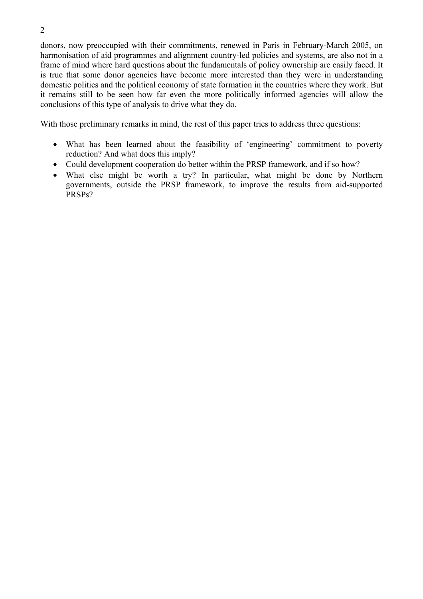donors, now preoccupied with their commitments, renewed in Paris in February-March 2005, on harmonisation of aid programmes and alignment country-led policies and systems, are also not in a frame of mind where hard questions about the fundamentals of policy ownership are easily faced. It is true that some donor agencies have become more interested than they were in understanding domestic politics and the political economy of state formation in the countries where they work. But it remains still to be seen how far even the more politically informed agencies will allow the conclusions of this type of analysis to drive what they do.

With those preliminary remarks in mind, the rest of this paper tries to address three questions:

- What has been learned about the feasibility of 'engineering' commitment to poverty reduction? And what does this imply?
- Could development cooperation do better within the PRSP framework, and if so how?
- What else might be worth a try? In particular, what might be done by Northern governments, outside the PRSP framework, to improve the results from aid-supported PRSPs?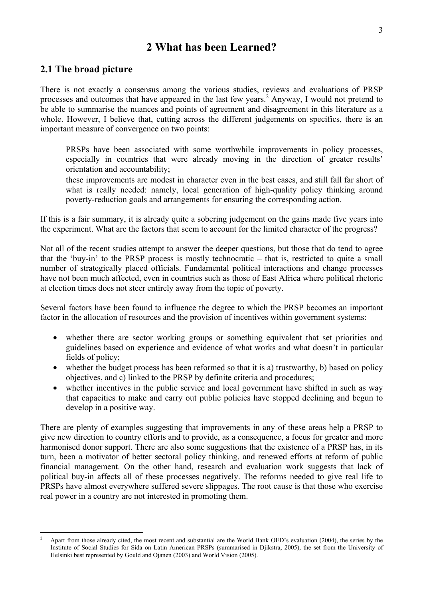### **2 What has been Learned?**

#### **2.1 The broad picture**

l

There is not exactly a consensus among the various studies, reviews and evaluations of PRSP processes and outcomes that have appeared in the last few years.<sup>2</sup> Anyway, I would not pretend to be able to summarise the nuances and points of agreement and disagreement in this literature as a whole. However, I believe that, cutting across the different judgements on specifics, there is an important measure of convergence on two points:

PRSPs have been associated with some worthwhile improvements in policy processes, especially in countries that were already moving in the direction of greater results' orientation and accountability;

these improvements are modest in character even in the best cases, and still fall far short of what is really needed: namely, local generation of high-quality policy thinking around poverty-reduction goals and arrangements for ensuring the corresponding action.

If this is a fair summary, it is already quite a sobering judgement on the gains made five years into the experiment. What are the factors that seem to account for the limited character of the progress?

Not all of the recent studies attempt to answer the deeper questions, but those that do tend to agree that the 'buy-in' to the PRSP process is mostly technocratic – that is, restricted to quite a small number of strategically placed officials. Fundamental political interactions and change processes have not been much affected, even in countries such as those of East Africa where political rhetoric at election times does not steer entirely away from the topic of poverty.

Several factors have been found to influence the degree to which the PRSP becomes an important factor in the allocation of resources and the provision of incentives within government systems:

- whether there are sector working groups or something equivalent that set priorities and guidelines based on experience and evidence of what works and what doesn't in particular fields of policy;
- whether the budget process has been reformed so that it is a) trustworthy, b) based on policy objectives, and c) linked to the PRSP by definite criteria and procedures;
- whether incentives in the public service and local government have shifted in such as way that capacities to make and carry out public policies have stopped declining and begun to develop in a positive way.

There are plenty of examples suggesting that improvements in any of these areas help a PRSP to give new direction to country efforts and to provide, as a consequence, a focus for greater and more harmonised donor support. There are also some suggestions that the existence of a PRSP has, in its turn, been a motivator of better sectoral policy thinking, and renewed efforts at reform of public financial management. On the other hand, research and evaluation work suggests that lack of political buy-in affects all of these processes negatively. The reforms needed to give real life to PRSPs have almost everywhere suffered severe slippages. The root cause is that those who exercise real power in a country are not interested in promoting them.

<sup>2</sup> Apart from those already cited, the most recent and substantial are the World Bank OED's evaluation (2004), the series by the Institute of Social Studies for Sida on Latin American PRSPs (summarised in Djikstra, 2005), the set from the University of Helsinki best represented by Gould and Ojanen (2003) and World Vision (2005).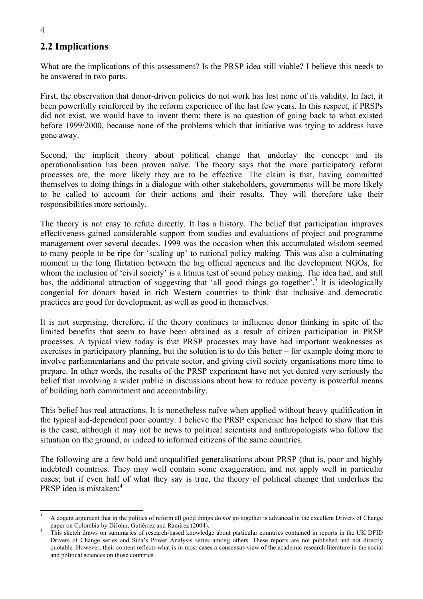### **2.2 Implications**

What are the implications of this assessment? Is the PRSP idea still viable? I believe this needs to be answered in two parts.

First, the observation that donor-driven policies do not work has lost none of its validity. In fact, it been powerfully reinforced by the reform experience of the last few years. In this respect, if PRSPs did not exist, we would have to invent them: there is no question of going back to what existed before 1999/2000, because none of the problems which that initiative was trying to address have gone away.

Second, the implicit theory about political change that underlay the concept and its operationalisation has been proven naïve. The theory says that the more participatory reform processes are, the more likely they are to be effective. The claim is that, having committed themselves to doing things in a dialogue with other stakeholders, governments will be more likely to be called to account for their actions and their results. They will therefore take their responsibilities more seriously.

The theory is not easy to refute directly. It has a history. The belief that participation improves effectiveness gained considerable support from studies and evaluations of project and programme management over several decades. 1999 was the occasion when this accumulated wisdom seemed to many people to be ripe for 'scaling up' to national policy making. This was also a culminating moment in the long flirtation between the big official agencies and the development NGOs, for whom the inclusion of 'civil society' is a litmus test of sound policy making. The idea had, and still has, the additional attraction of suggesting that 'all good things go together'.<sup>3</sup> It is ideologically congenial for donors based in rich Western countries to think that inclusive and democratic practices are good for development, as well as good in themselves.

It is not surprising, therefore, if the theory continues to influence donor thinking in spite of the limited benefits that seem to have been obtained as a result of citizen participation in PRSP processes. A typical view today is that PRSP processes may have had important weaknesses as exercises in participatory planning, but the solution is to do this better – for example doing more to involve parliamentarians and the private sector, and giving civil society organisations more time to prepare. In other words, the results of the PRSP experiment have not yet dented very seriously the belief that involving a wider public in discussions about how to reduce poverty is powerful means of building both commitment and accountability.

This belief has real attractions. It is nonetheless naïve when applied without heavy qualification in the typical aid-dependent poor country. I believe the PRSP experience has helped to show that this is the case, although it may not be news to political scientists and anthropologists who follow the situation on the ground, or indeed to informed citizens of the same countries.

The following are a few bold and unqualified generalisations about PRSP (that is, poor and highly indebted) countries. They may well contain some exaggeration, and not apply well in particular cases; but if even half of what they say is true, the theory of political change that underlies the PRSP idea is mistaken:<sup>4</sup>

l 3 A cogent argument that in the politics of reform all good things do *not* go together is advanced in the excellent Drivers of Change paper on Colombia by DiJohn, Gutiérrez and Ramírez (2004).

This sketch draws on summaries of research-based knowledge about particular countries contained in reports in the UK DFID Drivers of Change series and Sida's Power Analysis series among others. These reports are not published and not directly quotable. However, their content reflects what is in most cases a consensus view of the academic research literature in the social and political sciences on those countries.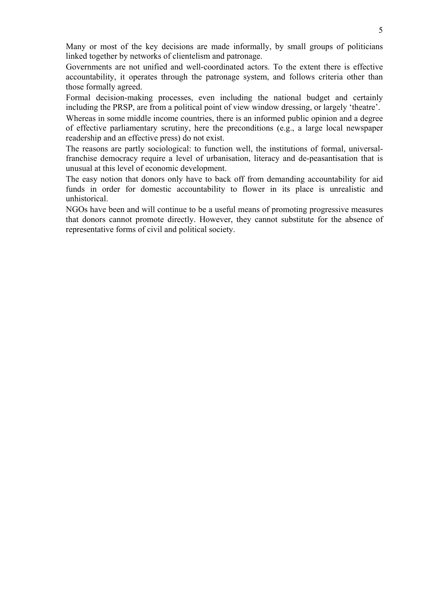Many or most of the key decisions are made informally, by small groups of politicians linked together by networks of clientelism and patronage.

Governments are not unified and well-coordinated actors. To the extent there is effective accountability, it operates through the patronage system, and follows criteria other than those formally agreed.

Formal decision-making processes, even including the national budget and certainly including the PRSP, are from a political point of view window dressing, or largely 'theatre'.

Whereas in some middle income countries, there is an informed public opinion and a degree of effective parliamentary scrutiny, here the preconditions (e.g., a large local newspaper readership and an effective press) do not exist.

The reasons are partly sociological: to function well, the institutions of formal, universalfranchise democracy require a level of urbanisation, literacy and de-peasantisation that is unusual at this level of economic development.

The easy notion that donors only have to back off from demanding accountability for aid funds in order for domestic accountability to flower in its place is unrealistic and unhistorical.

NGOs have been and will continue to be a useful means of promoting progressive measures that donors cannot promote directly. However, they cannot substitute for the absence of representative forms of civil and political society.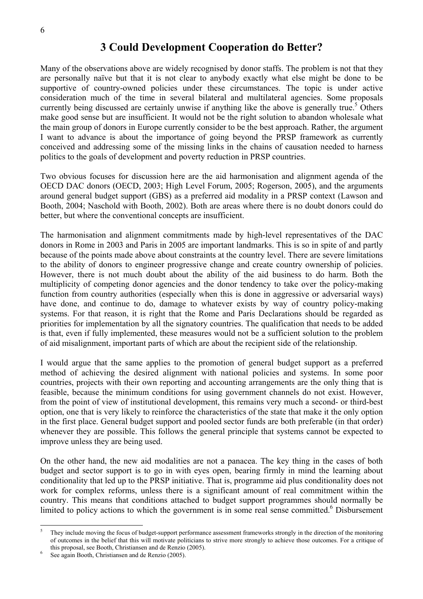### **3 Could Development Cooperation do Better?**

Many of the observations above are widely recognised by donor staffs. The problem is not that they are personally naïve but that it is not clear to anybody exactly what else might be done to be supportive of country-owned policies under these circumstances. The topic is under active consideration much of the time in several bilateral and multilateral agencies. Some proposals currently being discussed are certainly unwise if anything like the above is generally true.<sup>5</sup> Others make good sense but are insufficient. It would not be the right solution to abandon wholesale what the main group of donors in Europe currently consider to be the best approach. Rather, the argument I want to advance is about the importance of going beyond the PRSP framework as currently conceived and addressing some of the missing links in the chains of causation needed to harness politics to the goals of development and poverty reduction in PRSP countries.

Two obvious focuses for discussion here are the aid harmonisation and alignment agenda of the OECD DAC donors (OECD, 2003; High Level Forum, 2005; Rogerson, 2005), and the arguments around general budget support (GBS) as a preferred aid modality in a PRSP context (Lawson and Booth, 2004; Naschold with Booth, 2002). Both are areas where there is no doubt donors could do better, but where the conventional concepts are insufficient.

The harmonisation and alignment commitments made by high-level representatives of the DAC donors in Rome in 2003 and Paris in 2005 are important landmarks. This is so in spite of and partly because of the points made above about constraints at the country level. There are severe limitations to the ability of donors to engineer progressive change and create country ownership of policies. However, there is not much doubt about the ability of the aid business to do harm. Both the multiplicity of competing donor agencies and the donor tendency to take over the policy-making function from country authorities (especially when this is done in aggressive or adversarial ways) have done, and continue to do, damage to whatever exists by way of country policy-making systems. For that reason, it is right that the Rome and Paris Declarations should be regarded as priorities for implementation by all the signatory countries. The qualification that needs to be added is that, even if fully implemented, these measures would not be a sufficient solution to the problem of aid misalignment, important parts of which are about the recipient side of the relationship.

I would argue that the same applies to the promotion of general budget support as a preferred method of achieving the desired alignment with national policies and systems. In some poor countries, projects with their own reporting and accounting arrangements are the only thing that is feasible, because the minimum conditions for using government channels do not exist. However, from the point of view of institutional development, this remains very much a second- or third-best option, one that is very likely to reinforce the characteristics of the state that make it the only option in the first place. General budget support and pooled sector funds are both preferable (in that order) whenever they are possible. This follows the general principle that systems cannot be expected to improve unless they are being used.

On the other hand, the new aid modalities are not a panacea. The key thing in the cases of both budget and sector support is to go in with eyes open, bearing firmly in mind the learning about conditionality that led up to the PRSP initiative. That is, programme aid plus conditionality does not work for complex reforms, unless there is a significant amount of real commitment within the country. This means that conditions attached to budget support programmes should normally be limited to policy actions to which the government is in some real sense committed.<sup>6</sup> Disbursement

<sup>5</sup> They include moving the focus of budget-support performance assessment frameworks strongly in the direction of the monitoring of outcomes in the belief that this will motivate politicians to strive more strongly to achieve those outcomes. For a critique of this proposal, see Booth, Christiansen and de Renzio (2005).

See again Booth, Christiansen and de Renzio (2005).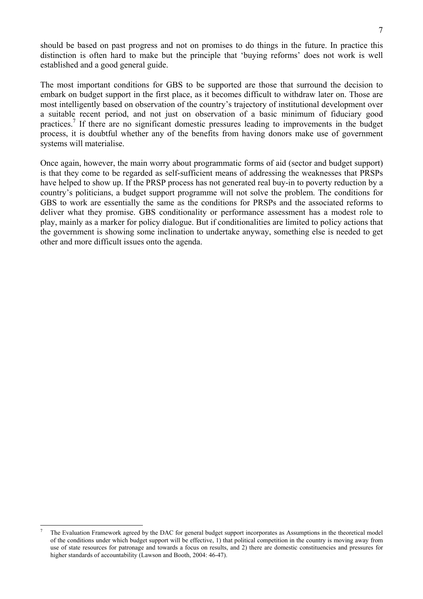should be based on past progress and not on promises to do things in the future. In practice this distinction is often hard to make but the principle that 'buying reforms' does not work is well established and a good general guide.

The most important conditions for GBS to be supported are those that surround the decision to embark on budget support in the first place, as it becomes difficult to withdraw later on. Those are most intelligently based on observation of the country's trajectory of institutional development over a suitable recent period, and not just on observation of a basic minimum of fiduciary good practices.<sup>7</sup> If there are no significant domestic pressures leading to improvements in the budget process, it is doubtful whether any of the benefits from having donors make use of government systems will materialise.

Once again, however, the main worry about programmatic forms of aid (sector and budget support) is that they come to be regarded as self-sufficient means of addressing the weaknesses that PRSPs have helped to show up. If the PRSP process has not generated real buy-in to poverty reduction by a country's politicians, a budget support programme will not solve the problem. The conditions for GBS to work are essentially the same as the conditions for PRSPs and the associated reforms to deliver what they promise. GBS conditionality or performance assessment has a modest role to play, mainly as a marker for policy dialogue. But if conditionalities are limited to policy actions that the government is showing some inclination to undertake anyway, something else is needed to get other and more difficult issues onto the agenda.

<sup>7</sup> The Evaluation Framework agreed by the DAC for general budget support incorporates as Assumptions in the theoretical model of the conditions under which budget support will be effective, 1) that political competition in the country is moving away from use of state resources for patronage and towards a focus on results, and 2) there are domestic constituencies and pressures for higher standards of accountability (Lawson and Booth, 2004: 46-47).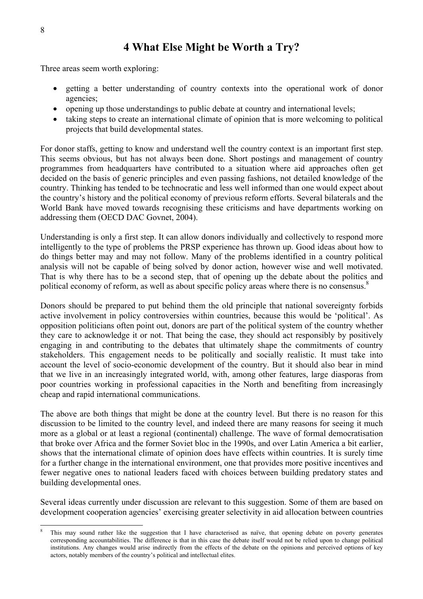## **4 What Else Might be Worth a Try?**

Three areas seem worth exploring:

- getting a better understanding of country contexts into the operational work of donor agencies;
- opening up those understandings to public debate at country and international levels;
- taking steps to create an international climate of opinion that is more welcoming to political projects that build developmental states.

For donor staffs, getting to know and understand well the country context is an important first step. This seems obvious, but has not always been done. Short postings and management of country programmes from headquarters have contributed to a situation where aid approaches often get decided on the basis of generic principles and even passing fashions, not detailed knowledge of the country. Thinking has tended to be technocratic and less well informed than one would expect about the country's history and the political economy of previous reform efforts. Several bilaterals and the World Bank have moved towards recognising these criticisms and have departments working on addressing them (OECD DAC Govnet, 2004).

Understanding is only a first step. It can allow donors individually and collectively to respond more intelligently to the type of problems the PRSP experience has thrown up. Good ideas about how to do things better may and may not follow. Many of the problems identified in a country political analysis will not be capable of being solved by donor action, however wise and well motivated. That is why there has to be a second step, that of opening up the debate about the politics and political economy of reform, as well as about specific policy areas where there is no consensus.<sup>8</sup>

Donors should be prepared to put behind them the old principle that national sovereignty forbids active involvement in policy controversies within countries, because this would be 'political'. As opposition politicians often point out, donors are part of the political system of the country whether they care to acknowledge it or not. That being the case, they should act responsibly by positively engaging in and contributing to the debates that ultimately shape the commitments of country stakeholders. This engagement needs to be politically and socially realistic. It must take into account the level of socio-economic development of the country. But it should also bear in mind that we live in an increasingly integrated world, with, among other features, large diasporas from poor countries working in professional capacities in the North and benefiting from increasingly cheap and rapid international communications.

The above are both things that might be done at the country level. But there is no reason for this discussion to be limited to the country level, and indeed there are many reasons for seeing it much more as a global or at least a regional (continental) challenge. The wave of formal democratisation that broke over Africa and the former Soviet bloc in the 1990s, and over Latin America a bit earlier, shows that the international climate of opinion does have effects within countries. It is surely time for a further change in the international environment, one that provides more positive incentives and fewer negative ones to national leaders faced with choices between building predatory states and building developmental ones.

Several ideas currently under discussion are relevant to this suggestion. Some of them are based on development cooperation agencies' exercising greater selectivity in aid allocation between countries

<sup>8</sup> This may sound rather like the suggestion that I have characterised as naïve, that opening debate on poverty generates corresponding accountabilities. The difference is that in this case the debate itself would not be relied upon to change political institutions. Any changes would arise indirectly from the effects of the debate on the opinions and perceived options of key actors, notably members of the country's political and intellectual elites.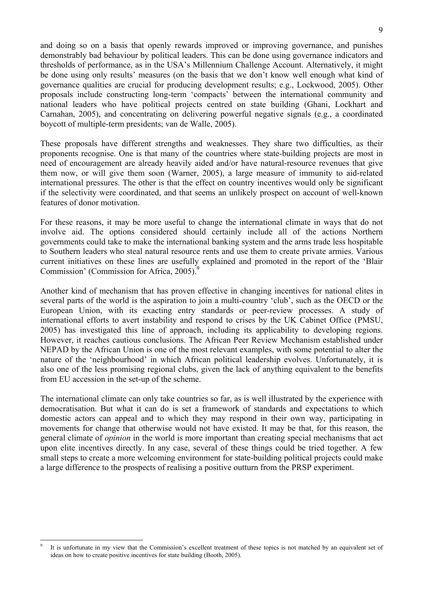and doing so on a basis that openly rewards improved or improving governance, and punishes demonstrably bad behaviour by political leaders. This can be done using governance indicators and thresholds of performance, as in the USA's Millennium Challenge Account. Alternatively, it might be done using only results' measures (on the basis that we don't know well enough what kind of governance qualities are crucial for producing development results; e.g., Lockwood, 2005). Other proposals include constructing long-term 'compacts' between the international community and national leaders who have political projects centred on state building (Ghani, Lockhart and Carnahan, 2005), and concentrating on delivering powerful negative signals (e.g., a coordinated boycott of multiple-term presidents; van de Walle, 2005).

These proposals have different strengths and weaknesses. They share two difficulties, as their proponents recognise. One is that many of the countries where state-building projects are most in need of encouragement are already heavily aided and/or have natural-resource revenues that give them now, or will give them soon (Warner, 2005), a large measure of immunity to aid-related international pressures. The other is that the effect on country incentives would only be significant if the selectivity were coordinated, and that seems an unlikely prospect on account of well-known features of donor motivation.

For these reasons, it may be more useful to change the international climate in ways that do not involve aid. The options considered should certainly include all of the actions Northern governments could take to make the international banking system and the arms trade less hospitable to Southern leaders who steal natural resource rents and use them to create private armies. Various current initiatives on these lines are usefully explained and promoted in the report of the 'Blair Commission' (Commission for Africa,  $2005$ ).<sup>9</sup>

Another kind of mechanism that has proven effective in changing incentives for national elites in several parts of the world is the aspiration to join a multi-country 'club', such as the OECD or the European Union, with its exacting entry standards or peer-review processes. A study of international efforts to avert instability and respond to crises by the UK Cabinet Office (PMSU, 2005) has investigated this line of approach, including its applicability to developing regions. However, it reaches cautious conclusions. The African Peer Review Mechanism established under NEPAD by the African Union is one of the most relevant examples, with some potential to alter the nature of the 'neighbourhood' in which African political leadership evolves. Unfortunately, it is also one of the less promising regional clubs, given the lack of anything equivalent to the benefits from EU accession in the set-up of the scheme.

The international climate can only take countries so far, as is well illustrated by the experience with democratisation. But what it can do is set a framework of standards and expectations to which domestic actors can appeal and to which they may respond in their own way, participating in movements for change that otherwise would not have existed. It may be that, for this reason, the general climate of *opinion* in the world is more important than creating special mechanisms that act upon elite incentives directly. In any case, several of these things could be tried together. A few small steps to create a more welcoming environment for state-building political projects could make a large difference to the prospects of realising a positive outturn from the PRSP experiment.

<sup>9</sup> It is unfortunate in my view that the Commission's excellent treatment of these topics is not matched by an equivalent set of ideas on how to create positive incentives for state building (Booth, 2005).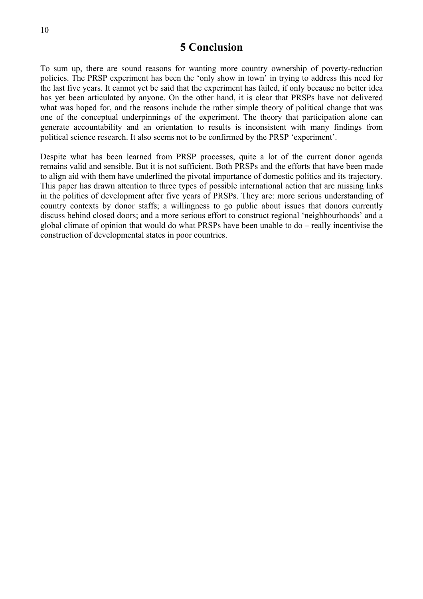#### **5 Conclusion**

To sum up, there are sound reasons for wanting more country ownership of poverty-reduction policies. The PRSP experiment has been the 'only show in town' in trying to address this need for the last five years. It cannot yet be said that the experiment has failed, if only because no better idea has yet been articulated by anyone. On the other hand, it is clear that PRSPs have not delivered what was hoped for, and the reasons include the rather simple theory of political change that was one of the conceptual underpinnings of the experiment. The theory that participation alone can generate accountability and an orientation to results is inconsistent with many findings from political science research. It also seems not to be confirmed by the PRSP 'experiment'.

Despite what has been learned from PRSP processes, quite a lot of the current donor agenda remains valid and sensible. But it is not sufficient. Both PRSPs and the efforts that have been made to align aid with them have underlined the pivotal importance of domestic politics and its trajectory. This paper has drawn attention to three types of possible international action that are missing links in the politics of development after five years of PRSPs. They are: more serious understanding of country contexts by donor staffs; a willingness to go public about issues that donors currently discuss behind closed doors; and a more serious effort to construct regional 'neighbourhoods' and a global climate of opinion that would do what PRSPs have been unable to do – really incentivise the construction of developmental states in poor countries.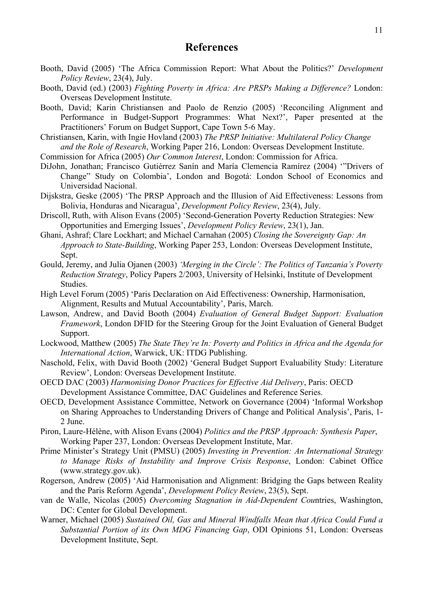#### **References**

- Booth, David (2005) 'The Africa Commission Report: What About the Politics?' *Development Policy Review*, 23(4), July.
- Booth, David (ed.) (2003) *Fighting Poverty in Africa: Are PRSPs Making a Difference?* London: Overseas Development Institute.
- Booth, David; Karin Christiansen and Paolo de Renzio (2005) 'Reconciling Alignment and Performance in Budget-Support Programmes: What Next?', Paper presented at the Practitioners' Forum on Budget Support, Cape Town 5-6 May.

Christiansen, Karin, with Ingie Hovland (2003) *The PRSP Initiative: Multilateral Policy Change and the Role of Research*, Working Paper 216, London: Overseas Development Institute.

Commission for Africa (2005) *Our Common Interest*, London: Commission for Africa.

- DiJohn, Jonathan; Francisco Gutiérrez Sanín and María Clemencia Ramírez (2004) '"Drivers of Change" Study on Colombia', London and Bogotá: London School of Economics and Universidad Nacional.
- Dijskstra, Geske (2005) 'The PRSP Approach and the Illusion of Aid Effectiveness: Lessons from Bolivia, Honduras and Nicaragua', *Development Policy Review*, 23(4), July.
- Driscoll, Ruth, with Alison Evans (2005) 'Second-Generation Poverty Reduction Strategies: New Opportunities and Emerging Issues', *Development Policy Review*, 23(1), Jan.
- Ghani, Ashraf; Clare Lockhart; and Michael Carnahan (2005) *Closing the Sovereignty Gap: An Approach to State-Building*, Working Paper 253, London: Overseas Development Institute, Sept.
- Gould, Jeremy, and Julia Ojanen (2003) *'Merging in the Circle': The Politics of Tanzania's Poverty Reduction Strategy*, Policy Papers 2/2003, University of Helsinki, Institute of Development Studies.
- High Level Forum (2005) 'Paris Declaration on Aid Effectiveness: Ownership, Harmonisation, Alignment, Results and Mutual Accountability', Paris, March.
- Lawson, Andrew, and David Booth (2004) *Evaluation of General Budget Support: Evaluation Framework*, London DFID for the Steering Group for the Joint Evaluation of General Budget Support.
- Lockwood, Matthew (2005) *The State They're In: Poverty and Politics in Africa and the Agenda for International Action*, Warwick, UK: ITDG Publishing.
- Naschold, Felix, with David Booth (2002) 'General Budget Support Evaluability Study: Literature Review', London: Overseas Development Institute.
- OECD DAC (2003) *Harmonising Donor Practices for Effective Aid Delivery*, Paris: OECD Development Assistance Committee, DAC Guidelines and Reference Series.
- OECD, Development Assistance Committee, Network on Governance (2004) 'Informal Workshop on Sharing Approaches to Understanding Drivers of Change and Political Analysis', Paris, 1- 2 June.
- Piron, Laure-Hélène, with Alison Evans (2004) *Politics and the PRSP Approach: Synthesis Paper*, Working Paper 237, London: Overseas Development Institute, Mar.
- Prime Minister's Strategy Unit (PMSU) (2005) *Investing in Prevention: An International Strategy to Manage Risks of Instability and Improve Crisis Response*, London: Cabinet Office (www.strategy.gov.uk).
- Rogerson, Andrew (2005) 'Aid Harmonisation and Alignment: Bridging the Gaps between Reality and the Paris Reform Agenda', *Development Policy Review*, 23(5), Sept.
- van de Walle, Nicolas (2005) *Overcoming Stagnation in Aid-Dependent Cou*ntries, Washington, DC: Center for Global Development.
- Warner, Michael (2005) *Sustained Oil, Gas and Mineral Windfalls Mean that Africa Could Fund a Substantial Portion of its Own MDG Financing Gap*, ODI Opinions 51, London: Overseas Development Institute, Sept.